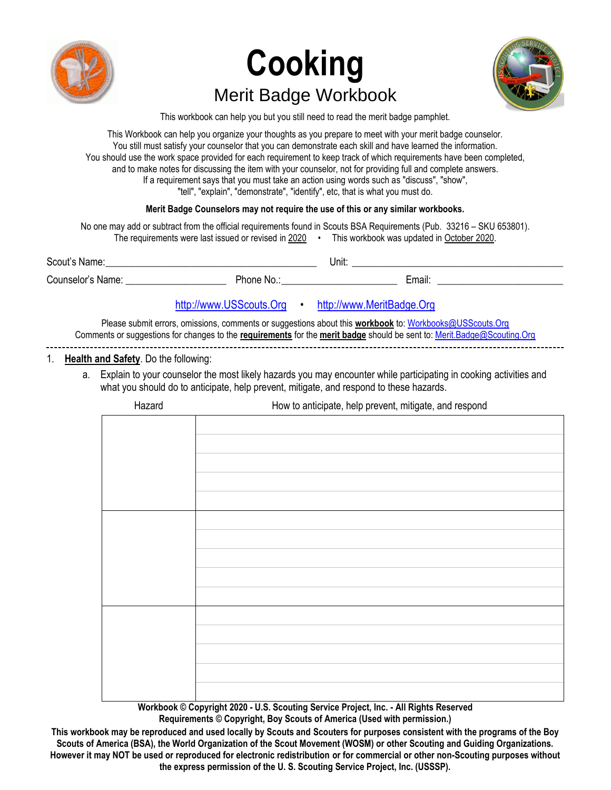

# **Cooking** Merit Badge Workbook



This workbook can help you but you still need to read the merit badge pamphlet.

This Workbook can help you organize your thoughts as you prepare to meet with your merit badge counselor. You still must satisfy your counselor that you can demonstrate each skill and have learned the information. You should use the work space provided for each requirement to keep track of which requirements have been completed, and to make notes for discussing the item with your counselor, not for providing full and complete answers. If a requirement says that you must take an action using words such as "discuss", "show", "tell", "explain", "demonstrate", "identify", etc, that is what you must do.

## **Merit Badge Counselors may not require the use of this or any similar workbooks.**

No one may add or subtract from the official requirements found in Scouts BSA Requirements (Pub. 33216 – SKU 653801). The requirements were last issued or revised in 2020 • This workbook was updated in October 2020. Scout's Name:\_\_\_\_\_\_\_\_\_\_\_\_\_\_\_\_\_\_\_\_\_\_\_\_\_\_\_\_\_\_\_\_\_\_\_\_\_\_\_\_\_\_ Unit: \_\_\_\_\_\_\_\_\_\_\_\_\_\_\_\_\_\_\_\_\_\_\_\_\_\_\_\_\_\_\_\_\_\_\_\_\_\_\_\_\_\_ Counselor's Name: \_\_\_\_\_\_\_\_\_\_\_\_\_\_\_\_\_\_\_\_ Phone No.:\_\_\_\_\_\_\_\_\_\_\_\_\_\_\_\_\_\_\_\_\_\_\_ Email: \_\_\_\_\_\_\_\_\_\_\_\_\_\_\_\_\_\_\_\_\_\_\_\_\_

# [http://www.USScouts.Org](http://www.usscouts.org/) • [http://www.MeritBadge.Org](http://www.meritbadge.org/)

Please submit errors, omissions, comments or suggestions about this **workbook** to[: Workbooks@USScouts.Org](mailto:Workbooks@usscouts.org?subject=Merit%20Badge%20Workbooks) Comments or suggestions for changes to the **requirements** for the **merit badge** should be sent to[: Merit.Badge@Scouting.Org](mailto:merit.badge@scouting.org)

## 1. **Health and Safety**. Do the following:

a. Explain to your counselor the most likely hazards you may encounter while participating in cooking activities and what you should do to anticipate, help prevent, mitigate, and respond to these hazards.

| Hazard           | How to anticipate, help prevent, mitigate, and respond                   |  |  |
|------------------|--------------------------------------------------------------------------|--|--|
|                  |                                                                          |  |  |
|                  |                                                                          |  |  |
|                  |                                                                          |  |  |
|                  |                                                                          |  |  |
|                  |                                                                          |  |  |
|                  |                                                                          |  |  |
|                  |                                                                          |  |  |
|                  |                                                                          |  |  |
|                  |                                                                          |  |  |
|                  |                                                                          |  |  |
|                  |                                                                          |  |  |
|                  |                                                                          |  |  |
|                  |                                                                          |  |  |
|                  |                                                                          |  |  |
|                  |                                                                          |  |  |
|                  |                                                                          |  |  |
|                  |                                                                          |  |  |
|                  |                                                                          |  |  |
| $\sim$<br>$\sim$ | .<br>the contract of the contract of the contract of<br>$\sim$<br>$\sim$ |  |  |

**Workbook © Copyright 2020 - U.S. Scouting Service Project, Inc. - All Rights Reserved Requirements © Copyright, Boy Scouts of America (Used with permission.)**

**This workbook may be reproduced and used locally by Scouts and Scouters for purposes consistent with the programs of the Boy Scouts of America (BSA), the World Organization of the Scout Movement (WOSM) or other Scouting and Guiding Organizations. However it may NOT be used or reproduced for electronic redistribution or for commercial or other non-Scouting purposes without the express permission of the U. S. Scouting Service Project, Inc. (USSSP).**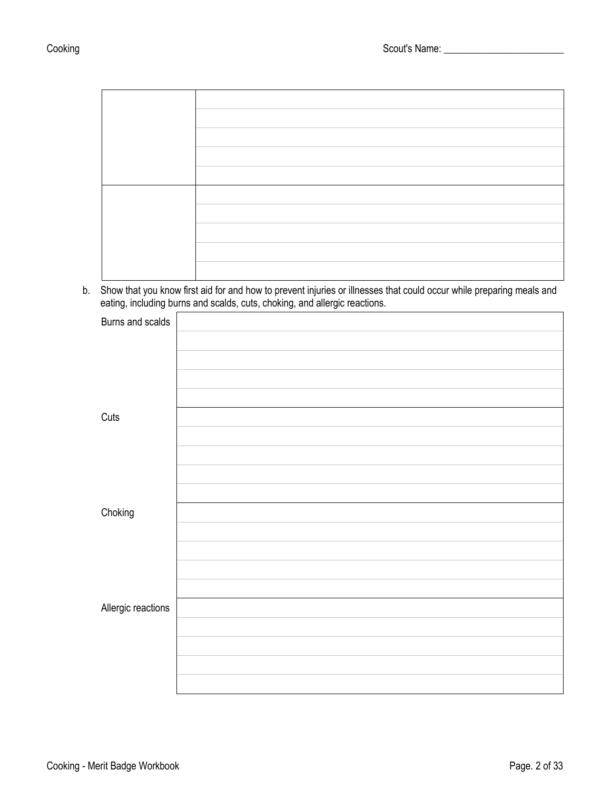b. Show that you know first aid for and how to prevent injuries or illnesses that could occur while preparing meals and eating, including burns and scalds, cuts, choking, and allergic reactions.

| Burns and scalds   |  |
|--------------------|--|
|                    |  |
|                    |  |
|                    |  |
|                    |  |
| Cuts               |  |
|                    |  |
|                    |  |
|                    |  |
|                    |  |
| Choking            |  |
|                    |  |
|                    |  |
|                    |  |
|                    |  |
| Allergic reactions |  |
|                    |  |
|                    |  |
|                    |  |
|                    |  |
|                    |  |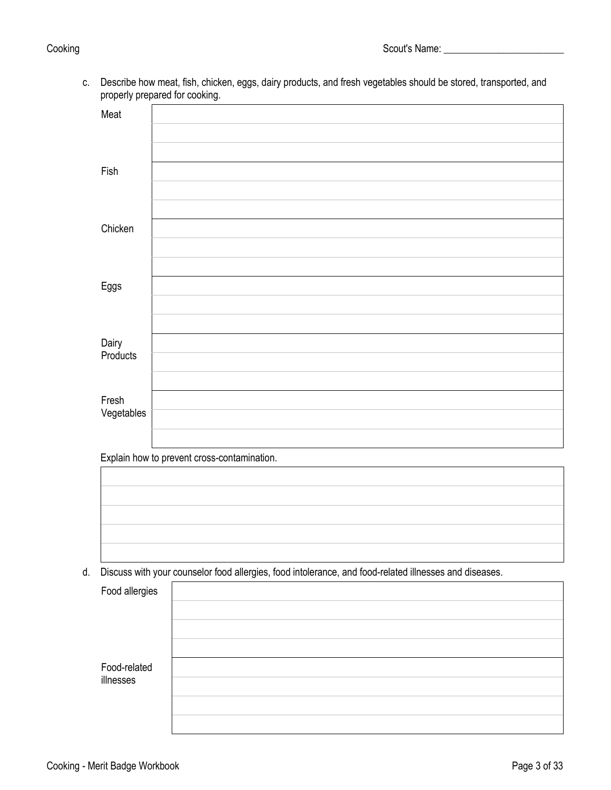c. Describe how meat, fish, chicken, eggs, dairy products, and fresh vegetables should be stored, transported, and properly prepared for cooking.

| Meat                |                                             |
|---------------------|---------------------------------------------|
|                     |                                             |
|                     |                                             |
| Fish                |                                             |
|                     |                                             |
|                     |                                             |
| Chicken             |                                             |
|                     |                                             |
|                     |                                             |
| $E$ ggs             |                                             |
|                     |                                             |
|                     |                                             |
| Dairy<br>Products   |                                             |
|                     |                                             |
|                     |                                             |
| Fresh<br>Vegetables |                                             |
|                     |                                             |
|                     | Evaloin hour to provent ergon contemination |

Explain how to prevent cross-contamination.



d. Discuss with your counselor food allergies, food intolerance, and food-related illnesses and diseases.

| Food allergies            |  |
|---------------------------|--|
|                           |  |
|                           |  |
|                           |  |
| Food-related<br>illnesses |  |
|                           |  |
|                           |  |
|                           |  |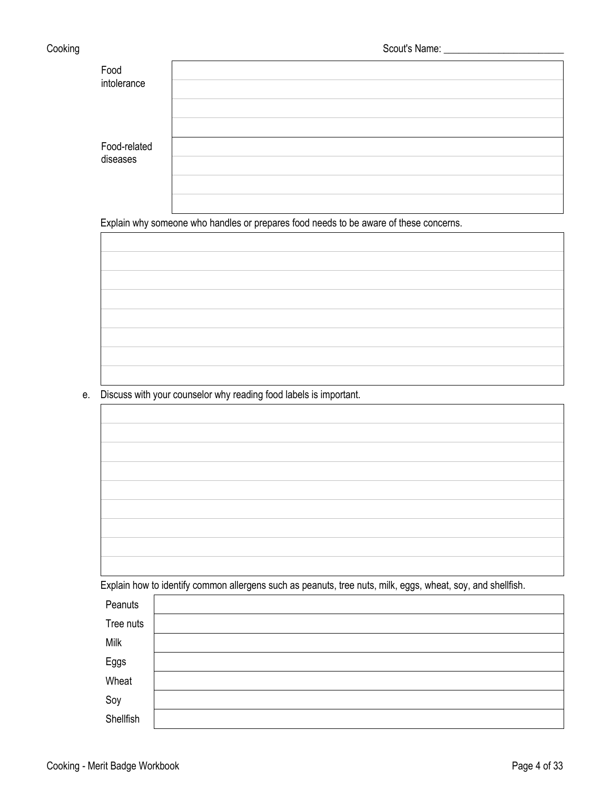| Food<br>intolerance      |  |
|--------------------------|--|
|                          |  |
| Food-related<br>diseases |  |
|                          |  |

Explain why someone who handles or prepares food needs to be aware of these concerns.

e. Discuss with your counselor why reading food labels is important.

Explain how to identify common allergens such as peanuts, tree nuts, milk, eggs, wheat, soy, and shellfish.

| Peanuts   |  |
|-----------|--|
| Tree nuts |  |
| Milk      |  |
| Eggs      |  |
| Wheat     |  |
| Soy       |  |
| Shellfish |  |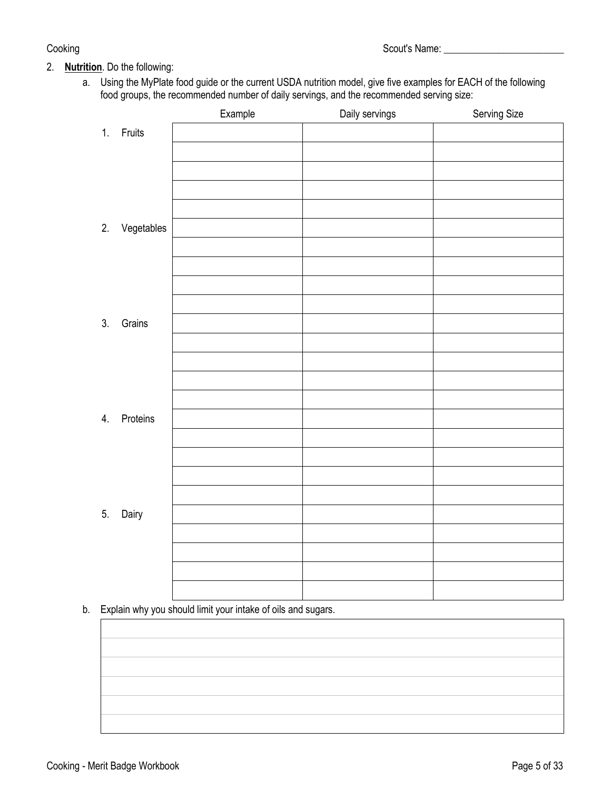# 2. **Nutrition**. Do the following:

a. Using the MyPlate food guide or the current USDA nutrition model, give five examples for EACH of the following food groups, the recommended number of daily servings, and the recommended serving size:

|    |               | Example | Daily servings | Serving Size |
|----|---------------|---------|----------------|--------------|
|    | 1. Fruits     |         |                |              |
|    |               |         |                |              |
|    |               |         |                |              |
|    |               |         |                |              |
|    |               |         |                |              |
|    | 2. Vegetables |         |                |              |
|    |               |         |                |              |
|    |               |         |                |              |
|    |               |         |                |              |
|    |               |         |                |              |
| 3. | Grains        |         |                |              |
|    |               |         |                |              |
|    |               |         |                |              |
|    |               |         |                |              |
|    |               |         |                |              |
| 4. | Proteins      |         |                |              |
|    |               |         |                |              |
|    |               |         |                |              |
|    |               |         |                |              |
|    |               |         |                |              |
| 5. | Dairy         |         |                |              |
|    |               |         |                |              |
|    |               |         |                |              |
|    |               |         |                |              |
|    |               |         |                |              |

b. Explain why you should limit your intake of oils and sugars.

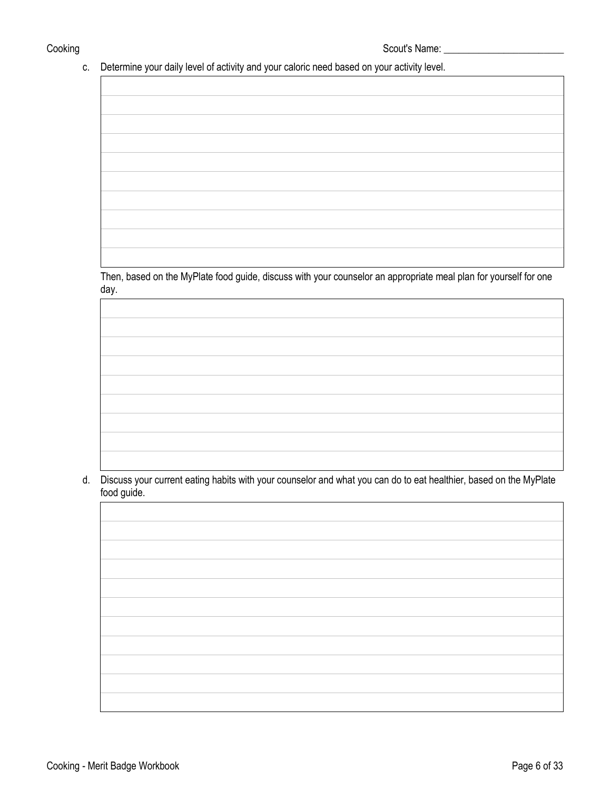Cooking Scout's Name: \_\_\_\_\_\_\_\_\_\_\_\_\_\_\_\_\_\_\_\_\_\_\_\_

# c. Determine your daily level of activity and your caloric need based on your activity level.

Then, based on the MyPlate food guide, discuss with your counselor an appropriate meal plan for yourself for one day.

d. Discuss your current eating habits with your counselor and what you can do to eat healthier, based on the MyPlate food guide.

|                                                                                                                       | <u> 1989 - Johann Stoff, amerikansk politiker (* 1908)</u>                        |  |
|-----------------------------------------------------------------------------------------------------------------------|-----------------------------------------------------------------------------------|--|
|                                                                                                                       |                                                                                   |  |
|                                                                                                                       |                                                                                   |  |
|                                                                                                                       |                                                                                   |  |
|                                                                                                                       |                                                                                   |  |
|                                                                                                                       |                                                                                   |  |
|                                                                                                                       |                                                                                   |  |
|                                                                                                                       |                                                                                   |  |
|                                                                                                                       |                                                                                   |  |
|                                                                                                                       |                                                                                   |  |
|                                                                                                                       |                                                                                   |  |
|                                                                                                                       |                                                                                   |  |
| the control of the control of the control of the control of the control of the control of                             |                                                                                   |  |
|                                                                                                                       |                                                                                   |  |
|                                                                                                                       |                                                                                   |  |
|                                                                                                                       |                                                                                   |  |
|                                                                                                                       |                                                                                   |  |
|                                                                                                                       |                                                                                   |  |
|                                                                                                                       | ,我们也不能在这里的时候,我们也不能在这里的时候,我们也不能会在这里的时候,我们也不能会在这里的时候,我们也不能会在这里的时候,我们也不能会在这里的时候,我们也  |  |
|                                                                                                                       |                                                                                   |  |
|                                                                                                                       |                                                                                   |  |
|                                                                                                                       |                                                                                   |  |
|                                                                                                                       |                                                                                   |  |
|                                                                                                                       |                                                                                   |  |
|                                                                                                                       | ,我们也不能会有什么。""我们的人,我们也不能会有什么?""我们的人,我们也不能会有什么?""我们的人,我们也不能会有什么?""我们的人,我们也不能会有什么?"" |  |
|                                                                                                                       |                                                                                   |  |
|                                                                                                                       |                                                                                   |  |
|                                                                                                                       |                                                                                   |  |
|                                                                                                                       |                                                                                   |  |
|                                                                                                                       |                                                                                   |  |
| <u> 1989 - Johann Stein, marwolaethau a bhann an t-Amhain ann an t-Amhain an t-Amhain an t-Amhain an t-Amhain an </u> |                                                                                   |  |
|                                                                                                                       |                                                                                   |  |
|                                                                                                                       |                                                                                   |  |
|                                                                                                                       |                                                                                   |  |
|                                                                                                                       |                                                                                   |  |
|                                                                                                                       |                                                                                   |  |
|                                                                                                                       |                                                                                   |  |
|                                                                                                                       |                                                                                   |  |
|                                                                                                                       |                                                                                   |  |
|                                                                                                                       |                                                                                   |  |
|                                                                                                                       |                                                                                   |  |
|                                                                                                                       |                                                                                   |  |
|                                                                                                                       |                                                                                   |  |
|                                                                                                                       |                                                                                   |  |
|                                                                                                                       |                                                                                   |  |
|                                                                                                                       |                                                                                   |  |
|                                                                                                                       |                                                                                   |  |
|                                                                                                                       |                                                                                   |  |
|                                                                                                                       |                                                                                   |  |
|                                                                                                                       |                                                                                   |  |
|                                                                                                                       |                                                                                   |  |
|                                                                                                                       |                                                                                   |  |
|                                                                                                                       |                                                                                   |  |
|                                                                                                                       |                                                                                   |  |
|                                                                                                                       |                                                                                   |  |
|                                                                                                                       |                                                                                   |  |
|                                                                                                                       |                                                                                   |  |
|                                                                                                                       |                                                                                   |  |
|                                                                                                                       |                                                                                   |  |
|                                                                                                                       |                                                                                   |  |
|                                                                                                                       |                                                                                   |  |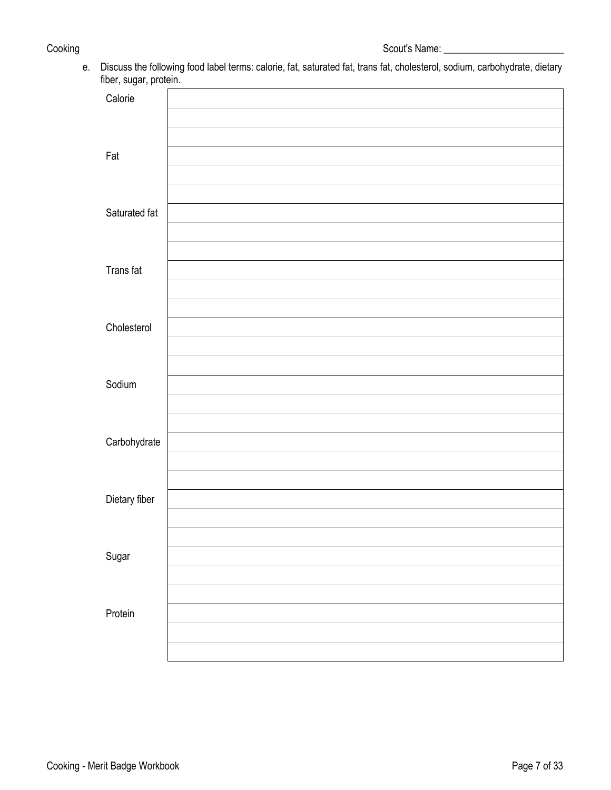e. Discuss the following food label terms: calorie, fat, saturated fat, trans fat, cholesterol, sodium, carbohydrate, dietary fiber, sugar, protein.

| $\cdot$ .<br>Calorie |  |
|----------------------|--|
|                      |  |
|                      |  |
|                      |  |
| Fat                  |  |
|                      |  |
|                      |  |
| Saturated fat        |  |
|                      |  |
|                      |  |
| Trans fat            |  |
|                      |  |
|                      |  |
|                      |  |
| Cholesterol          |  |
|                      |  |
|                      |  |
| Sodium               |  |
|                      |  |
|                      |  |
| Carbohydrate         |  |
|                      |  |
|                      |  |
| Dietary fiber        |  |
|                      |  |
|                      |  |
|                      |  |
| Sugar                |  |
|                      |  |
|                      |  |
| Protein              |  |
|                      |  |
|                      |  |
|                      |  |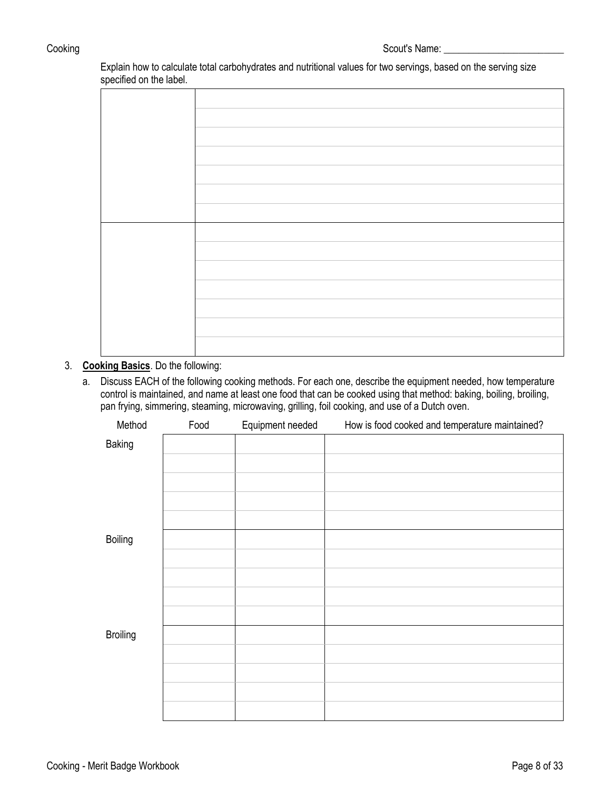Explain how to calculate total carbohydrates and nutritional values for two servings, based on the serving size specified on the label.

## 3. **Cooking Basics**. Do the following:

a. Discuss EACH of the following cooking methods. For each one, describe the equipment needed, how temperature control is maintained, and name at least one food that can be cooked using that method: baking, boiling, broiling, pan frying, simmering, steaming, microwaving, grilling, foil cooking, and use of a Dutch oven.

| Method          | Food | Equipment needed | How is food cooked and temperature maintained? |
|-----------------|------|------------------|------------------------------------------------|
| Baking          |      |                  |                                                |
|                 |      |                  |                                                |
|                 |      |                  |                                                |
|                 |      |                  |                                                |
|                 |      |                  |                                                |
|                 |      |                  |                                                |
| Boiling         |      |                  |                                                |
|                 |      |                  |                                                |
|                 |      |                  |                                                |
|                 |      |                  |                                                |
|                 |      |                  |                                                |
| <b>Broiling</b> |      |                  |                                                |
|                 |      |                  |                                                |
|                 |      |                  |                                                |
|                 |      |                  |                                                |
|                 |      |                  |                                                |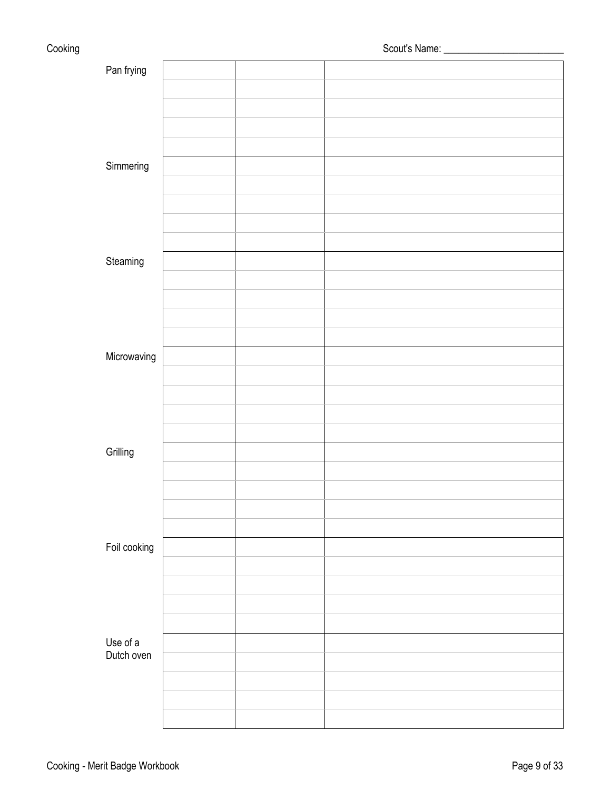| Cooking |                        |  |  |  |
|---------|------------------------|--|--|--|
|         | Pan frying             |  |  |  |
|         |                        |  |  |  |
|         |                        |  |  |  |
|         |                        |  |  |  |
|         |                        |  |  |  |
|         | Simmering              |  |  |  |
|         |                        |  |  |  |
|         |                        |  |  |  |
|         |                        |  |  |  |
|         |                        |  |  |  |
|         | Steaming               |  |  |  |
|         |                        |  |  |  |
|         |                        |  |  |  |
|         |                        |  |  |  |
|         |                        |  |  |  |
|         | Microwaving            |  |  |  |
|         |                        |  |  |  |
|         |                        |  |  |  |
|         |                        |  |  |  |
|         |                        |  |  |  |
|         | Grilling               |  |  |  |
|         |                        |  |  |  |
|         |                        |  |  |  |
|         |                        |  |  |  |
|         |                        |  |  |  |
|         | Foil cooking           |  |  |  |
|         |                        |  |  |  |
|         |                        |  |  |  |
|         |                        |  |  |  |
|         |                        |  |  |  |
|         | Use of a<br>Dutch oven |  |  |  |
|         |                        |  |  |  |
|         |                        |  |  |  |
|         |                        |  |  |  |
|         |                        |  |  |  |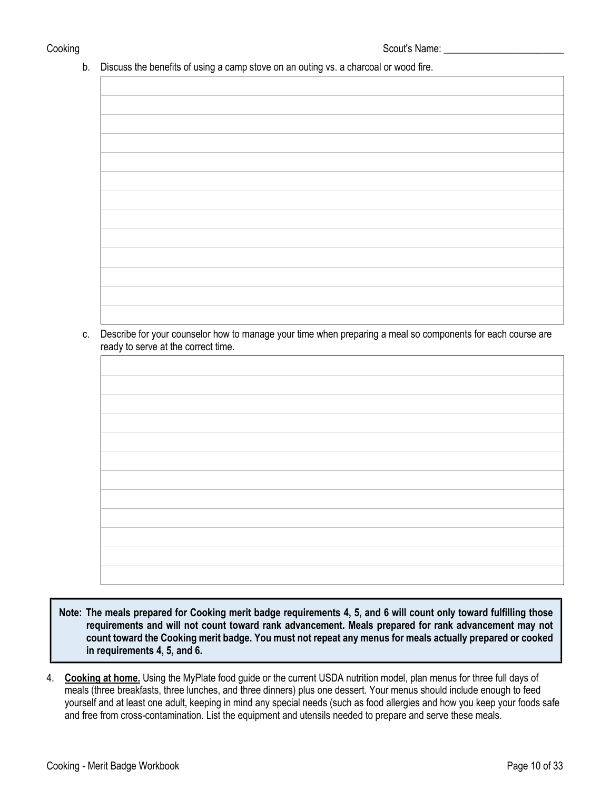b. Discuss the benefits of using a camp stove on an outing vs. a charcoal or wood fire.

c. Describe for your counselor how to manage your time when preparing a meal so components for each course are ready to serve at the correct time.

**Note: The meals prepared for Cooking merit badge requirements 4, 5, and 6 will count only toward fulfilling those requirements and will not count toward rank advancement. Meals prepared for rank advancement may not count toward the Cooking merit badge. You must not repeat any menus for meals actually prepared or cooked in requirements 4, 5, and 6.**

4. **Cooking at home.** Using the MyPlate food guide or the current USDA nutrition model, plan menus for three full days of meals (three breakfasts, three lunches, and three dinners) plus one dessert. Your menus should include enough to feed yourself and at least one adult, keeping in mind any special needs (such as food allergies and how you keep your foods safe and free from cross-contamination. List the equipment and utensils needed to prepare and serve these meals.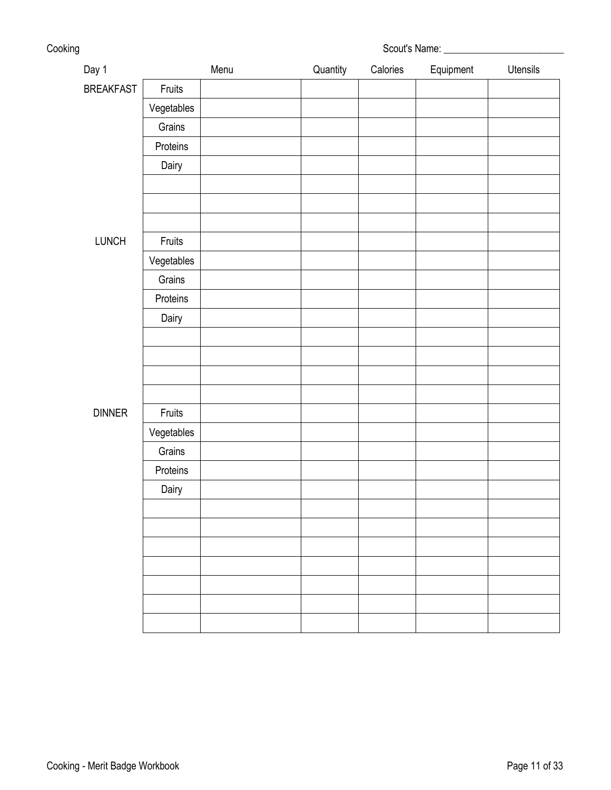| Cooking | Scout's Name: |
|---------|---------------|
|         |               |

| Day 1            |            | Menu | Quantity | Calories | Equipment | Utensils |
|------------------|------------|------|----------|----------|-----------|----------|
| <b>BREAKFAST</b> | Fruits     |      |          |          |           |          |
|                  | Vegetables |      |          |          |           |          |
|                  | Grains     |      |          |          |           |          |
|                  | Proteins   |      |          |          |           |          |
|                  | Dairy      |      |          |          |           |          |
|                  |            |      |          |          |           |          |
|                  |            |      |          |          |           |          |
|                  |            |      |          |          |           |          |
| LUNCH            | Fruits     |      |          |          |           |          |
|                  | Vegetables |      |          |          |           |          |
|                  | Grains     |      |          |          |           |          |
|                  | Proteins   |      |          |          |           |          |
|                  | Dairy      |      |          |          |           |          |
|                  |            |      |          |          |           |          |
|                  |            |      |          |          |           |          |
|                  |            |      |          |          |           |          |
|                  |            |      |          |          |           |          |
| <b>DINNER</b>    | Fruits     |      |          |          |           |          |
|                  | Vegetables |      |          |          |           |          |
|                  | Grains     |      |          |          |           |          |
|                  | Proteins   |      |          |          |           |          |
|                  | Dairy      |      |          |          |           |          |
|                  |            |      |          |          |           |          |
|                  |            |      |          |          |           |          |
|                  |            |      |          |          |           |          |
|                  |            |      |          |          |           |          |
|                  |            |      |          |          |           |          |
|                  |            |      |          |          |           |          |
|                  |            |      |          |          |           |          |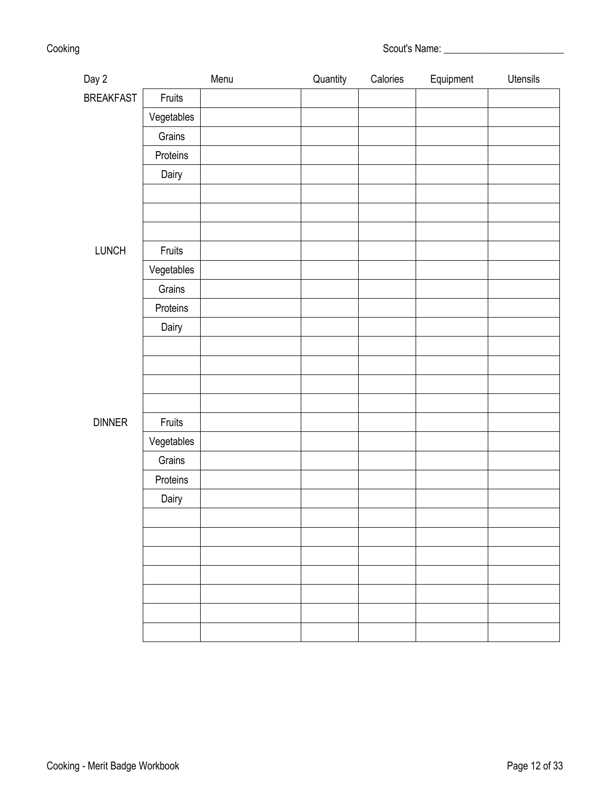| Cooking | Scout's Name: |
|---------|---------------|
|---------|---------------|

| Day 2            |            | Menu | Quantity | Calories | Equipment | Utensils |
|------------------|------------|------|----------|----------|-----------|----------|
| <b>BREAKFAST</b> | Fruits     |      |          |          |           |          |
|                  | Vegetables |      |          |          |           |          |
|                  | Grains     |      |          |          |           |          |
|                  | Proteins   |      |          |          |           |          |
|                  | Dairy      |      |          |          |           |          |
|                  |            |      |          |          |           |          |
|                  |            |      |          |          |           |          |
|                  |            |      |          |          |           |          |
| LUNCH            | Fruits     |      |          |          |           |          |
|                  | Vegetables |      |          |          |           |          |
|                  | Grains     |      |          |          |           |          |
|                  | Proteins   |      |          |          |           |          |
|                  | Dairy      |      |          |          |           |          |
|                  |            |      |          |          |           |          |
|                  |            |      |          |          |           |          |
|                  |            |      |          |          |           |          |
|                  |            |      |          |          |           |          |
| <b>DINNER</b>    | Fruits     |      |          |          |           |          |
|                  | Vegetables |      |          |          |           |          |
|                  | Grains     |      |          |          |           |          |
|                  | Proteins   |      |          |          |           |          |
|                  | Dairy      |      |          |          |           |          |
|                  |            |      |          |          |           |          |
|                  |            |      |          |          |           |          |
|                  |            |      |          |          |           |          |
|                  |            |      |          |          |           |          |
|                  |            |      |          |          |           |          |
|                  |            |      |          |          |           |          |
|                  |            |      |          |          |           |          |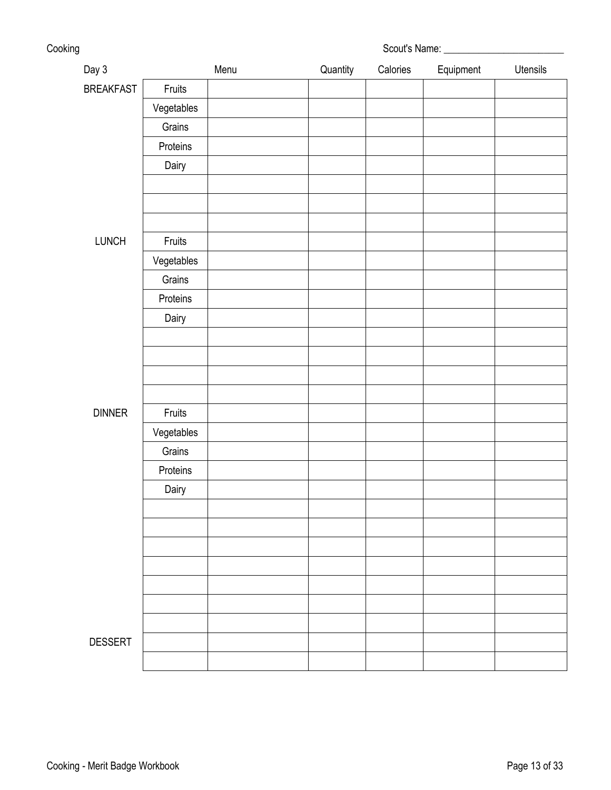| Cooking | Scout's Name: |
|---------|---------------|
|---------|---------------|

| Day 3            |            | Menu | Quantity | Calories | Equipment | Utensils |
|------------------|------------|------|----------|----------|-----------|----------|
| <b>BREAKFAST</b> | Fruits     |      |          |          |           |          |
|                  | Vegetables |      |          |          |           |          |
|                  | Grains     |      |          |          |           |          |
|                  | Proteins   |      |          |          |           |          |
|                  | Dairy      |      |          |          |           |          |
|                  |            |      |          |          |           |          |
|                  |            |      |          |          |           |          |
|                  |            |      |          |          |           |          |
| LUNCH            | Fruits     |      |          |          |           |          |
|                  | Vegetables |      |          |          |           |          |
|                  | Grains     |      |          |          |           |          |
|                  | Proteins   |      |          |          |           |          |
|                  | Dairy      |      |          |          |           |          |
|                  |            |      |          |          |           |          |
|                  |            |      |          |          |           |          |
|                  |            |      |          |          |           |          |
|                  |            |      |          |          |           |          |
| <b>DINNER</b>    | Fruits     |      |          |          |           |          |
|                  | Vegetables |      |          |          |           |          |
|                  | Grains     |      |          |          |           |          |
|                  | Proteins   |      |          |          |           |          |
|                  | Dairy      |      |          |          |           |          |
|                  |            |      |          |          |           |          |
|                  |            |      |          |          |           |          |
|                  |            |      |          |          |           |          |
|                  |            |      |          |          |           |          |
|                  |            |      |          |          |           |          |
|                  |            |      |          |          |           |          |
|                  |            |      |          |          |           |          |
| <b>DESSERT</b>   |            |      |          |          |           |          |
|                  |            |      |          |          |           |          |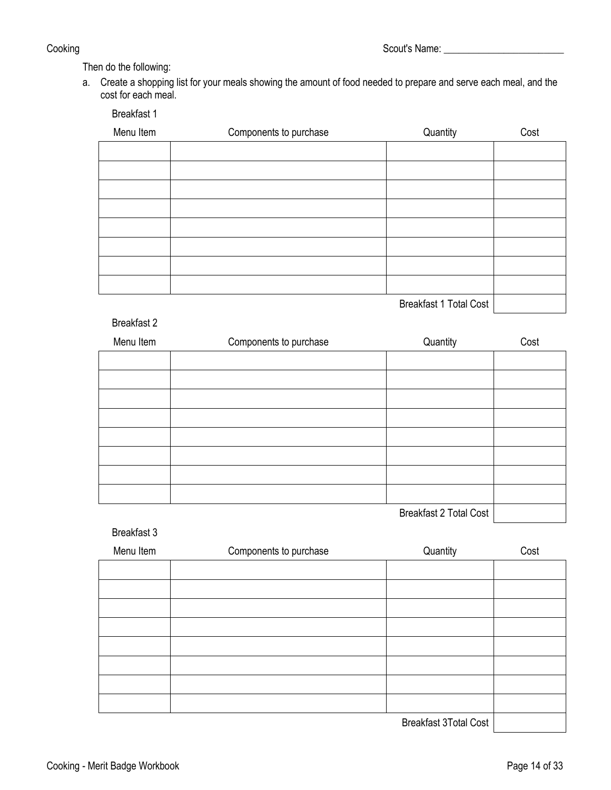Then do the following:

Breakfast 1

a. Create a shopping list for your meals showing the amount of food needed to prepare and serve each meal, and the cost for each meal.

| .         |                        |          |      |
|-----------|------------------------|----------|------|
| Menu Item | Components to purchase | Quantity | Cost |
|           |                        |          |      |
|           |                        |          |      |
|           |                        |          |      |
|           |                        |          |      |
|           |                        |          |      |
|           |                        |          |      |
|           |                        |          |      |
|           |                        |          |      |
|           |                        | .        |      |

Breakfast 1 Total Cost

## Breakfast 2

| Menu Item | Components to purchase | Quantity                      | Cost |
|-----------|------------------------|-------------------------------|------|
|           |                        |                               |      |
|           |                        |                               |      |
|           |                        |                               |      |
|           |                        |                               |      |
|           |                        |                               |      |
|           |                        |                               |      |
|           |                        |                               |      |
|           |                        |                               |      |
|           |                        | <b>Breakfast 2 Total Cost</b> |      |

## Breakfast 3

| Menu Item | Components to purchase | Quantity | Cost |
|-----------|------------------------|----------|------|
|           |                        |          |      |
|           |                        |          |      |
|           |                        |          |      |
|           |                        |          |      |
|           |                        |          |      |
|           |                        |          |      |
|           |                        |          |      |
|           |                        |          |      |
|           |                        |          |      |

Breakfast 3Total Cost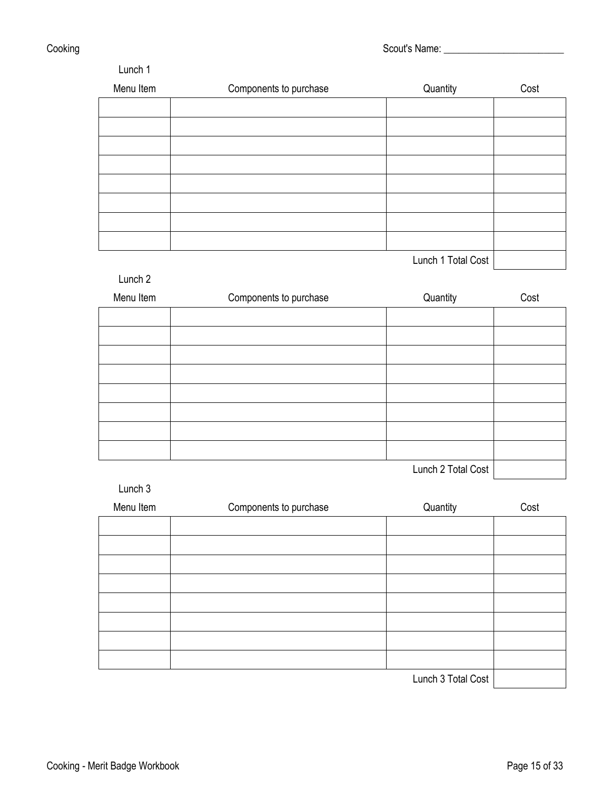Cooking Cooking Cooking Cooking Cooking Cooking Cooking Cooking Cooking Cooking Cooking Cooking Cooking Cooking Cooking Cooking Cooking Cooking Cooking Cooking Cooking Cooking Cooking Cooking Cooking Cooking Cooking Cookin

| Menu Item | Components to purchase | Quantity                                                                                          | Cost |
|-----------|------------------------|---------------------------------------------------------------------------------------------------|------|
|           |                        |                                                                                                   |      |
|           |                        |                                                                                                   |      |
|           |                        |                                                                                                   |      |
|           |                        |                                                                                                   |      |
|           |                        |                                                                                                   |      |
|           |                        |                                                                                                   |      |
|           |                        |                                                                                                   |      |
|           |                        |                                                                                                   |      |
|           |                        | $\mathbf{1}$ and $\mathbf{1}$ and $\mathbf{1}$ and $\mathbf{1}$ and $\mathbf{1}$ and $\mathbf{1}$ |      |

Lunch 1 Total Cost | **Container 1** 

| Lunch <sub>2</sub> |                        |                    |      |
|--------------------|------------------------|--------------------|------|
| Menu Item          | Components to purchase | Quantity           | Cost |
|                    |                        |                    |      |
|                    |                        |                    |      |
|                    |                        |                    |      |
|                    |                        |                    |      |
|                    |                        |                    |      |
|                    |                        |                    |      |
|                    |                        |                    |      |
|                    |                        |                    |      |
|                    |                        | Lunch 2 Total Cost |      |

Lunch 3

| Menu Item | Components to purchase | Quantity                                                                                                                                                                                                                                                                                                                                                                             | Cost |
|-----------|------------------------|--------------------------------------------------------------------------------------------------------------------------------------------------------------------------------------------------------------------------------------------------------------------------------------------------------------------------------------------------------------------------------------|------|
|           |                        |                                                                                                                                                                                                                                                                                                                                                                                      |      |
|           |                        |                                                                                                                                                                                                                                                                                                                                                                                      |      |
|           |                        |                                                                                                                                                                                                                                                                                                                                                                                      |      |
|           |                        |                                                                                                                                                                                                                                                                                                                                                                                      |      |
|           |                        |                                                                                                                                                                                                                                                                                                                                                                                      |      |
|           |                        |                                                                                                                                                                                                                                                                                                                                                                                      |      |
|           |                        |                                                                                                                                                                                                                                                                                                                                                                                      |      |
|           |                        |                                                                                                                                                                                                                                                                                                                                                                                      |      |
|           |                        | $\overline{1}$ $\overline{1}$ $\overline{2}$ $\overline{1}$ $\overline{1}$ $\overline{1}$ $\overline{1}$ $\overline{1}$ $\overline{1}$ $\overline{1}$ $\overline{1}$ $\overline{1}$ $\overline{1}$ $\overline{1}$ $\overline{1}$ $\overline{1}$ $\overline{1}$ $\overline{1}$ $\overline{1}$ $\overline{1}$ $\overline{1}$ $\overline{1}$ $\overline{1}$ $\overline{1}$ $\overline{$ |      |

Lunch 3 Total Cost |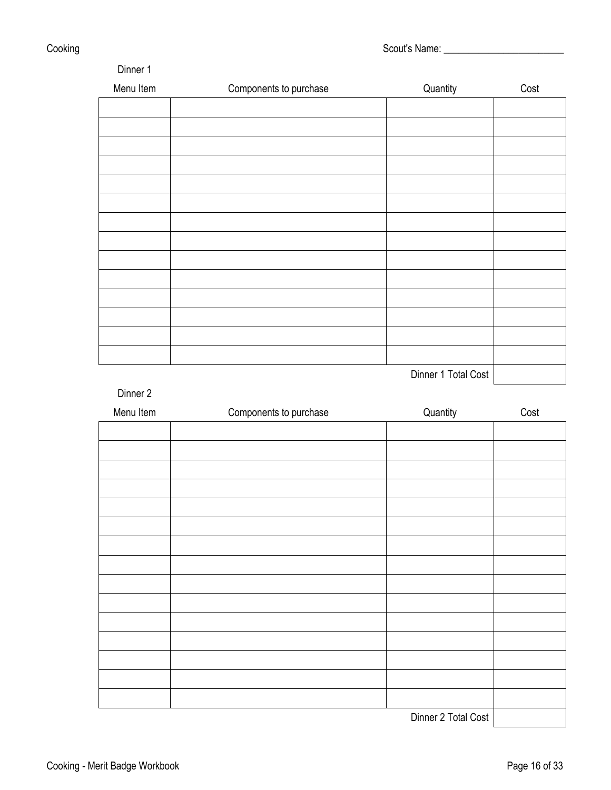| Dinner 1  |                        |                     |      |
|-----------|------------------------|---------------------|------|
| Menu Item | Components to purchase | Quantity            | Cost |
|           |                        |                     |      |
|           |                        |                     |      |
|           |                        |                     |      |
|           |                        |                     |      |
|           |                        |                     |      |
|           |                        |                     |      |
|           |                        |                     |      |
|           |                        |                     |      |
|           |                        |                     |      |
|           |                        |                     |      |
|           |                        |                     |      |
|           |                        |                     |      |
|           |                        |                     |      |
|           |                        |                     |      |
|           |                        | Dinner 1 Total Cost |      |

Dinner 2

| Menu Item | Components to purchase | Quantity            | Cost |
|-----------|------------------------|---------------------|------|
|           |                        |                     |      |
|           |                        |                     |      |
|           |                        |                     |      |
|           |                        |                     |      |
|           |                        |                     |      |
|           |                        |                     |      |
|           |                        |                     |      |
|           |                        |                     |      |
|           |                        |                     |      |
|           |                        |                     |      |
|           |                        |                     |      |
|           |                        |                     |      |
|           |                        |                     |      |
|           |                        |                     |      |
|           |                        |                     |      |
|           |                        | Dinner 2 Total Cost |      |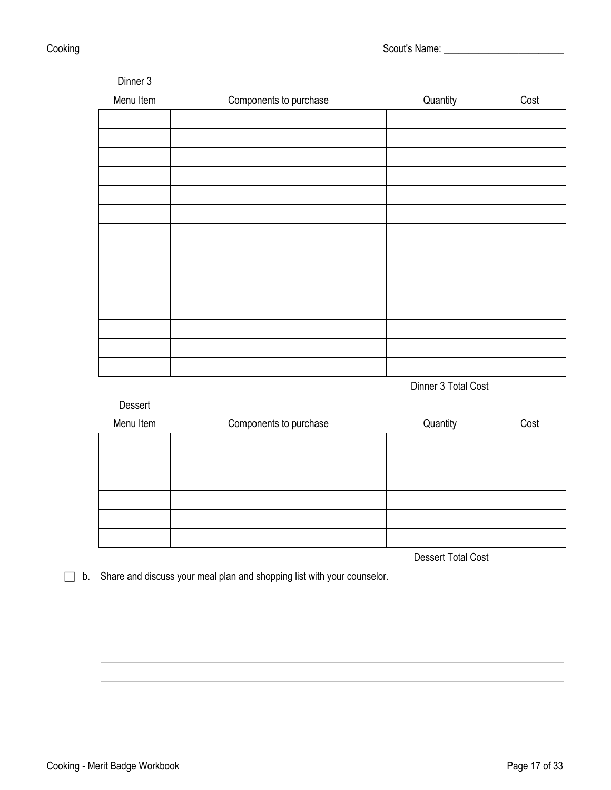example of the state of the state of the Scout's Name: the Scout's Name: the Scout's Name: the Scout's Name: the Scout's Name: the Scout's Name: the Scout's Name: the Scout's Name: the Scout's Name: the Scout's Name: the S

| Menu Item | Components to purchase                                                  | Quantity            | Cost |
|-----------|-------------------------------------------------------------------------|---------------------|------|
|           |                                                                         |                     |      |
|           |                                                                         |                     |      |
|           |                                                                         |                     |      |
|           |                                                                         |                     |      |
|           |                                                                         |                     |      |
|           |                                                                         |                     |      |
|           |                                                                         |                     |      |
|           |                                                                         |                     |      |
|           |                                                                         |                     |      |
|           |                                                                         |                     |      |
|           |                                                                         |                     |      |
|           |                                                                         |                     |      |
|           |                                                                         |                     |      |
|           |                                                                         |                     |      |
|           |                                                                         |                     |      |
|           |                                                                         |                     |      |
|           |                                                                         |                     |      |
|           |                                                                         |                     |      |
|           |                                                                         | Dinner 3 Total Cost |      |
| Dessert   |                                                                         |                     |      |
|           |                                                                         |                     |      |
| Menu Item | Components to purchase                                                  | Quantity            | Cost |
|           |                                                                         |                     |      |
|           |                                                                         |                     |      |
|           |                                                                         |                     |      |
|           |                                                                         |                     |      |
|           |                                                                         |                     |      |
|           |                                                                         |                     |      |
|           |                                                                         |                     |      |
|           |                                                                         | Dessert Total Cost  |      |
|           |                                                                         |                     |      |
|           | Share and discuss your meal plan and shopping list with your counselor. |                     |      |
|           |                                                                         |                     |      |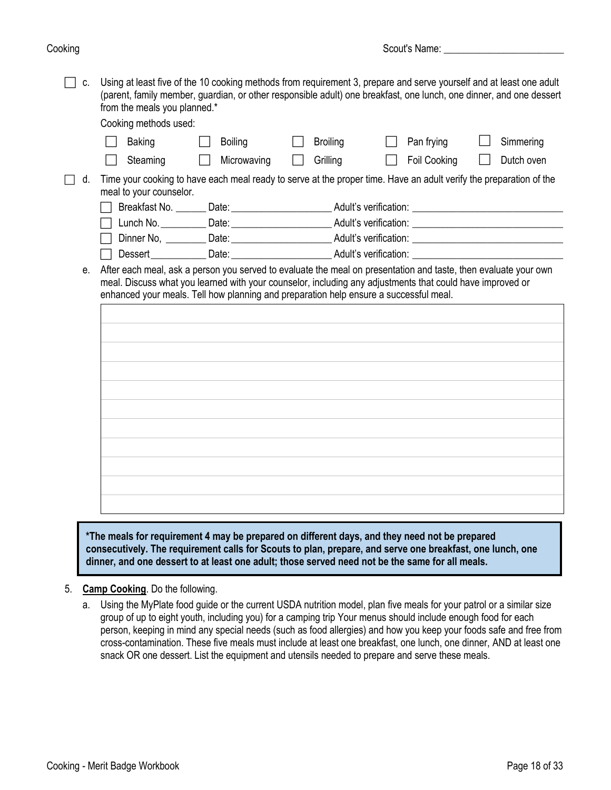$\Box$  c. Using at least five of the 10 cooking methods from requirement 3, prepare and serve yourself and at least one adult (parent, family member, guardian, or other responsible adult) one breakfast, one lunch, one dinner, and one dessert from the meals you planned.\*

Cooking methods used:

|         | COOKING INGLIOUS USED.  |                                                                                       |                 |                                                                                                                    |            |
|---------|-------------------------|---------------------------------------------------------------------------------------|-----------------|--------------------------------------------------------------------------------------------------------------------|------------|
|         | <b>Baking</b>           | <b>Boiling</b>                                                                        | <b>Broiling</b> | Pan frying                                                                                                         | Simmering  |
|         | Steaming                | Microwaving                                                                           | Grilling        | Foil Cooking                                                                                                       | Dutch oven |
| d.      |                         |                                                                                       |                 | Time your cooking to have each meal ready to serve at the proper time. Have an adult verify the preparation of the |            |
|         | meal to your counselor. |                                                                                       |                 |                                                                                                                    |            |
|         |                         |                                                                                       |                 | Breakfast No. _______ Date: ___________________________Adult's verification: _________________________________     |            |
|         |                         |                                                                                       |                 |                                                                                                                    |            |
|         |                         |                                                                                       |                 |                                                                                                                    |            |
|         |                         |                                                                                       |                 | Dessert_____________Date:____________________________Adult's verification: _________________________               |            |
| $e_{i}$ |                         |                                                                                       |                 | After each meal, ask a person you served to evaluate the meal on presentation and taste, then evaluate your own    |            |
|         |                         | enhanced your meals. Tell how planning and preparation help ensure a successful meal. |                 | meal. Discuss what you learned with your counselor, including any adjustments that could have improved or          |            |
|         |                         |                                                                                       |                 |                                                                                                                    |            |
|         |                         |                                                                                       |                 |                                                                                                                    |            |
|         |                         |                                                                                       |                 |                                                                                                                    |            |
|         |                         |                                                                                       |                 |                                                                                                                    |            |
|         |                         |                                                                                       |                 |                                                                                                                    |            |
|         |                         |                                                                                       |                 |                                                                                                                    |            |
|         |                         |                                                                                       |                 |                                                                                                                    |            |
|         |                         |                                                                                       |                 |                                                                                                                    |            |
|         |                         |                                                                                       |                 |                                                                                                                    |            |
|         |                         |                                                                                       |                 |                                                                                                                    |            |
|         |                         |                                                                                       |                 |                                                                                                                    |            |
|         |                         |                                                                                       |                 |                                                                                                                    |            |
|         |                         |                                                                                       |                 |                                                                                                                    |            |
|         |                         |                                                                                       |                 |                                                                                                                    |            |
|         |                         |                                                                                       |                 |                                                                                                                    |            |

**\*The meals for requirement 4 may be prepared on different days, and they need not be prepared consecutively. The requirement calls for Scouts to plan, prepare, and serve one breakfast, one lunch, one dinner, and one dessert to at least one adult; those served need not be the same for all meals.**

- 5. **Camp Cooking**. Do the following.
	- a. Using the MyPlate food guide or the current USDA nutrition model, plan five meals for your patrol or a similar size group of up to eight youth, including you) for a camping trip Your menus should include enough food for each person, keeping in mind any special needs (such as food allergies) and how you keep your foods safe and free from cross-contamination. These five meals must include at least one breakfast, one lunch, one dinner, AND at least one snack OR one dessert. List the equipment and utensils needed to prepare and serve these meals.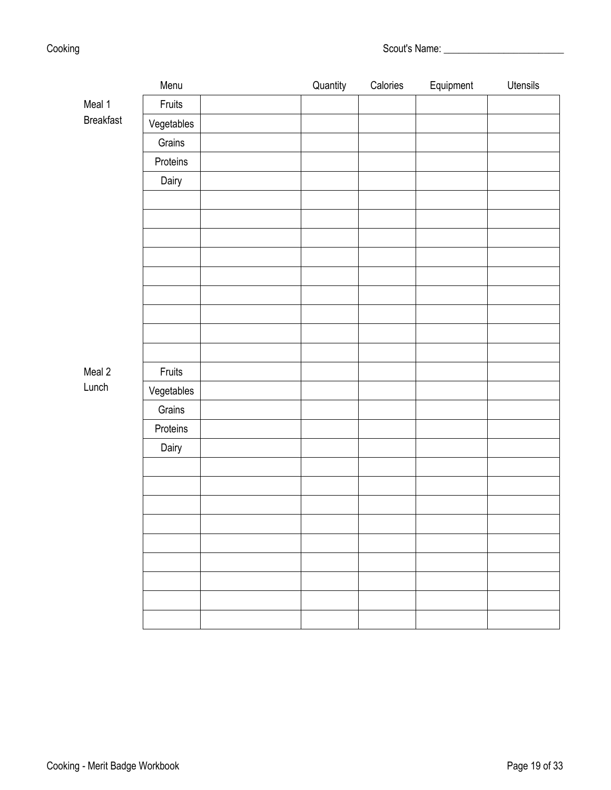| Scout's Name: |
|---------------|
|               |

|                  | Menu       | Quantity | Calories | Equipment | Utensils |
|------------------|------------|----------|----------|-----------|----------|
| Meal 1           | Fruits     |          |          |           |          |
| <b>Breakfast</b> | Vegetables |          |          |           |          |
|                  | Grains     |          |          |           |          |
|                  | Proteins   |          |          |           |          |
|                  | Dairy      |          |          |           |          |
|                  |            |          |          |           |          |
|                  |            |          |          |           |          |
|                  |            |          |          |           |          |
|                  |            |          |          |           |          |
|                  |            |          |          |           |          |
|                  |            |          |          |           |          |
|                  |            |          |          |           |          |
|                  |            |          |          |           |          |
|                  |            |          |          |           |          |
| Meal 2           | Fruits     |          |          |           |          |
| Lunch            | Vegetables |          |          |           |          |
|                  | Grains     |          |          |           |          |
|                  | Proteins   |          |          |           |          |
|                  | Dairy      |          |          |           |          |
|                  |            |          |          |           |          |
|                  |            |          |          |           |          |
|                  |            |          |          |           |          |
|                  |            |          |          |           |          |
|                  |            |          |          |           |          |
|                  |            |          |          |           |          |
|                  |            |          |          |           |          |
|                  |            |          |          |           |          |
|                  |            |          |          |           |          |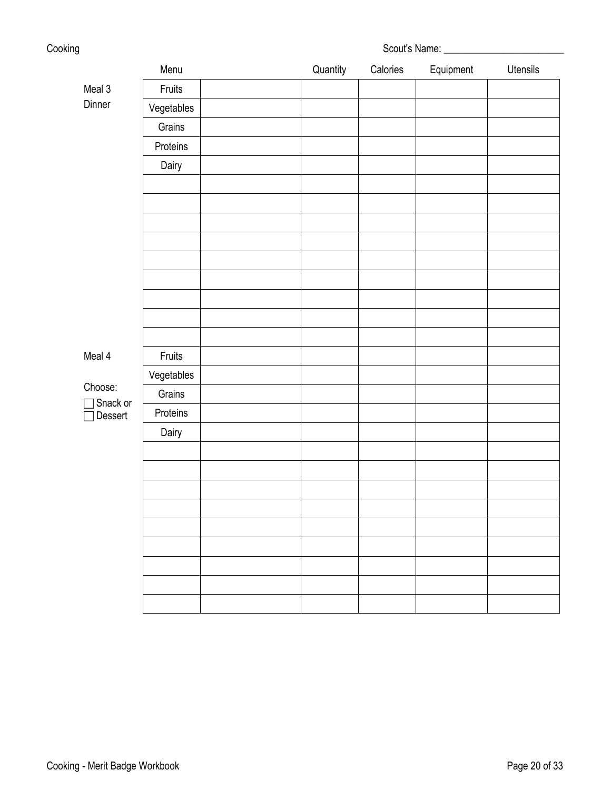| Cooking |            | Scout's Name: ________ |          |           |                 |
|---------|------------|------------------------|----------|-----------|-----------------|
|         | Menu       | Quantity               | Calories | Equipment | <b>Utensils</b> |
| Meal 3  | Fruits     |                        |          |           |                 |
| Dinner  | Vegetables |                        |          |           |                 |
|         | Grains     |                        |          |           |                 |
|         | Proteins   |                        |          |           |                 |
|         | Dairy      |                        |          |           |                 |
|         |            |                        |          |           |                 |
|         |            |                        |          |           |                 |
|         |            |                        |          |           |                 |
|         |            |                        |          |           |                 |
|         |            |                        |          |           |                 |
|         |            |                        |          |           |                 |
|         |            |                        |          |           |                 |

Meal 4

Choose:

 Snack or **□** Dessert

|            | Fruits     |  |  |  |
|------------|------------|--|--|--|
|            | Vegetables |  |  |  |
| $\circ$ or | Grains     |  |  |  |
| ert        | Proteins   |  |  |  |
|            | Dairy      |  |  |  |
|            |            |  |  |  |
|            |            |  |  |  |
|            |            |  |  |  |
|            |            |  |  |  |
|            |            |  |  |  |
|            |            |  |  |  |
|            |            |  |  |  |
|            |            |  |  |  |
|            |            |  |  |  |
|            |            |  |  |  |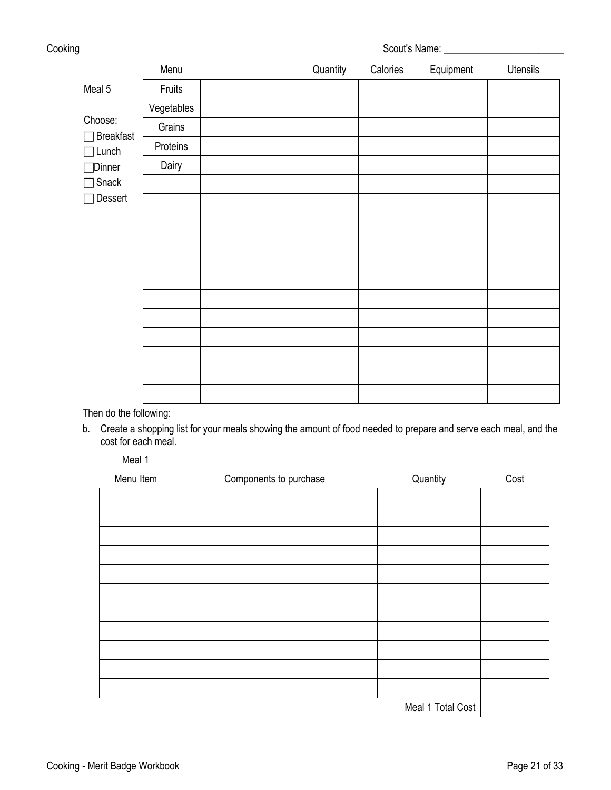| Cooking                     |            | Scout's Name: ___________ |          |           |          |  |
|-----------------------------|------------|---------------------------|----------|-----------|----------|--|
|                             | Menu       | Quantity                  | Calories | Equipment | Utensils |  |
| Meal 5                      | Fruits     |                           |          |           |          |  |
|                             | Vegetables |                           |          |           |          |  |
| Choose:<br><b>Breakfast</b> | Grains     |                           |          |           |          |  |
| Lunch                       | Proteins   |                           |          |           |          |  |
| <b>□</b> Dinner             | Dairy      |                           |          |           |          |  |
| Snack                       |            |                           |          |           |          |  |
| Dessert                     |            |                           |          |           |          |  |
|                             |            |                           |          |           |          |  |
|                             |            |                           |          |           |          |  |
|                             |            |                           |          |           |          |  |
|                             |            |                           |          |           |          |  |
|                             |            |                           |          |           |          |  |
|                             |            |                           |          |           |          |  |
|                             |            |                           |          |           |          |  |
|                             |            |                           |          |           |          |  |
|                             |            |                           |          |           |          |  |
|                             |            |                           |          |           |          |  |

Then do the following:

b. Create a shopping list for your meals showing the amount of food needed to prepare and serve each meal, and the cost for each meal.

Meal 1

| Menu Item | Components to purchase | Quantity          | Cost |
|-----------|------------------------|-------------------|------|
|           |                        |                   |      |
|           |                        |                   |      |
|           |                        |                   |      |
|           |                        |                   |      |
|           |                        |                   |      |
|           |                        |                   |      |
|           |                        |                   |      |
|           |                        |                   |      |
|           |                        |                   |      |
|           |                        |                   |      |
|           |                        |                   |      |
|           |                        | Meal 1 Total Cost |      |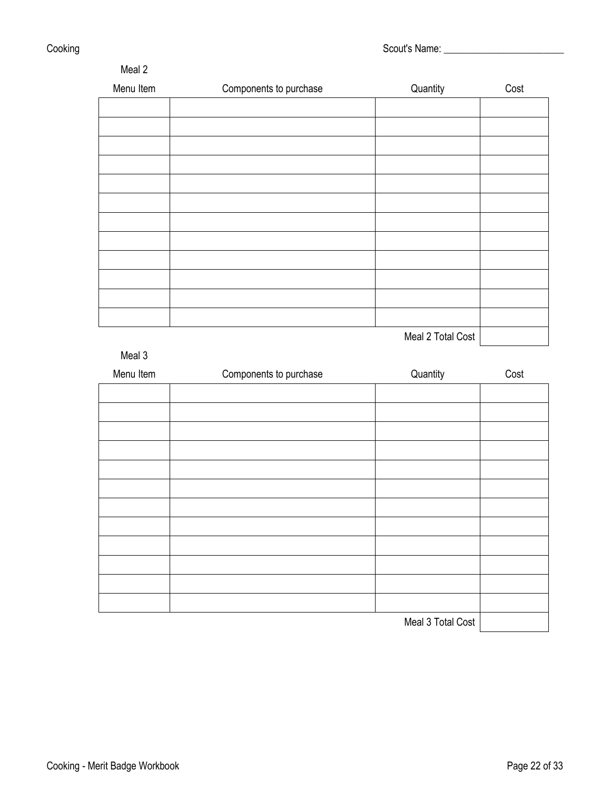| Meal 2    |                        |          |      |
|-----------|------------------------|----------|------|
| Menu Item | Components to purchase | Quantity | Cost |
|           |                        |          |      |
|           |                        |          |      |
|           |                        |          |      |
|           |                        |          |      |
|           |                        |          |      |
|           |                        |          |      |
|           |                        |          |      |
|           |                        |          |      |
|           |                        |          |      |
|           |                        |          |      |
|           |                        |          |      |
|           |                        |          |      |
|           |                        |          |      |

Meal 2 Total Cost

# Meal 3

| Menu Item | Components to purchase | Quantity          | Cost |
|-----------|------------------------|-------------------|------|
|           |                        |                   |      |
|           |                        |                   |      |
|           |                        |                   |      |
|           |                        |                   |      |
|           |                        |                   |      |
|           |                        |                   |      |
|           |                        |                   |      |
|           |                        |                   |      |
|           |                        |                   |      |
|           |                        |                   |      |
|           |                        |                   |      |
|           |                        |                   |      |
|           |                        | Meal 3 Total Cost |      |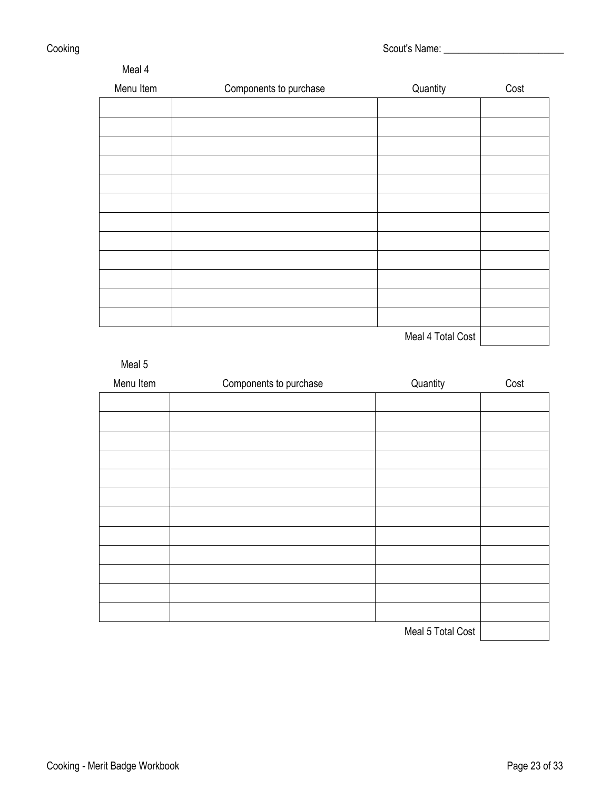| Meal 4    |                        |            |      |
|-----------|------------------------|------------|------|
| Menu Item | Components to purchase | Quantity   | Cost |
|           |                        |            |      |
|           |                        |            |      |
|           |                        |            |      |
|           |                        |            |      |
|           |                        |            |      |
|           |                        |            |      |
|           |                        |            |      |
|           |                        |            |      |
|           |                        |            |      |
|           |                        |            |      |
|           |                        |            |      |
|           |                        |            |      |
|           |                        | . <i>.</i> |      |

Meal 4 Total Cost | **Meal 4 Total Cost** 

# Meal 5

| Menu Item | Components to purchase | Quantity          | Cost |
|-----------|------------------------|-------------------|------|
|           |                        |                   |      |
|           |                        |                   |      |
|           |                        |                   |      |
|           |                        |                   |      |
|           |                        |                   |      |
|           |                        |                   |      |
|           |                        |                   |      |
|           |                        |                   |      |
|           |                        |                   |      |
|           |                        |                   |      |
|           |                        |                   |      |
|           |                        |                   |      |
|           |                        | Meal 5 Total Cost |      |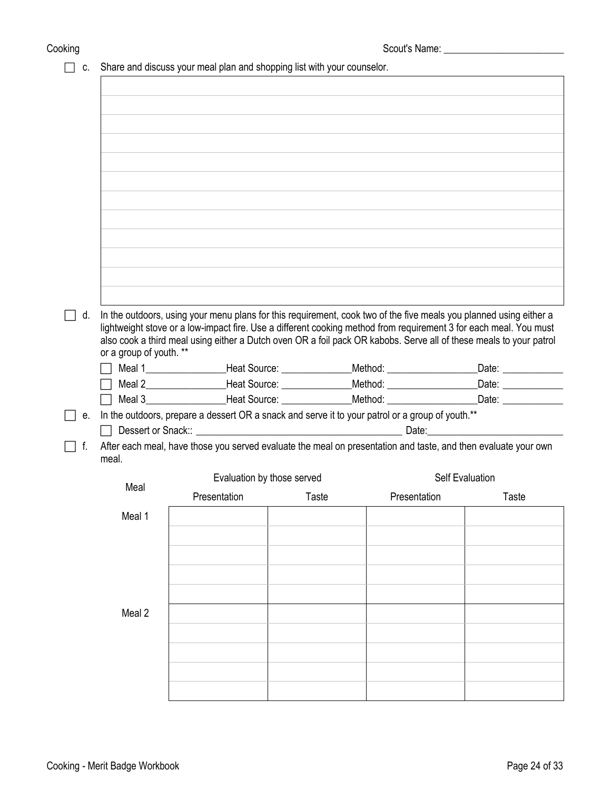$\Box$  c. Share and discuss your meal plan and shopping list with your counselor.

| d. |                         | In the outdoors, using your menu plans for this requirement, cook two of the five meals you planned using either a                                                                                           |       |              |                        |       |
|----|-------------------------|--------------------------------------------------------------------------------------------------------------------------------------------------------------------------------------------------------------|-------|--------------|------------------------|-------|
|    |                         | lightweight stove or a low-impact fire. Use a different cooking method from requirement 3 for each meal. You must                                                                                            |       |              |                        |       |
|    |                         | also cook a third meal using either a Dutch oven OR a foil pack OR kabobs. Serve all of these meals to your patrol                                                                                           |       |              |                        |       |
|    | or a group of youth. ** |                                                                                                                                                                                                              |       |              |                        |       |
|    |                         | Meal 1_____________________Heat Source: __________________Method: _______________________Date: ______________                                                                                                |       |              |                        |       |
|    |                         | Meal 2___________________Heat Source: ________________Method: ___________________Date: _____________<br>Meal 3___________________Heat Source: ________________Method: ___________________Date: _____________ |       |              |                        |       |
|    |                         |                                                                                                                                                                                                              |       |              |                        |       |
| е. |                         | In the outdoors, prepare a dessert OR a snack and serve it to your patrol or a group of youth.**                                                                                                             |       |              |                        |       |
| f. |                         | After each meal, have those you served evaluate the meal on presentation and taste, and then evaluate your own                                                                                               |       |              |                        |       |
|    | meal.                   |                                                                                                                                                                                                              |       |              |                        |       |
|    |                         | Evaluation by those served                                                                                                                                                                                   |       |              | <b>Self Evaluation</b> |       |
|    | Meal                    |                                                                                                                                                                                                              |       |              |                        |       |
|    |                         | Presentation                                                                                                                                                                                                 | Taste | Presentation |                        | Taste |
|    | Meal 1                  |                                                                                                                                                                                                              |       |              |                        |       |
|    |                         |                                                                                                                                                                                                              |       |              |                        |       |
|    |                         |                                                                                                                                                                                                              |       |              |                        |       |
|    |                         |                                                                                                                                                                                                              |       |              |                        |       |
|    |                         |                                                                                                                                                                                                              |       |              |                        |       |
|    |                         |                                                                                                                                                                                                              |       |              |                        |       |
|    | Meal 2                  |                                                                                                                                                                                                              |       |              |                        |       |
|    |                         |                                                                                                                                                                                                              |       |              |                        |       |
|    |                         |                                                                                                                                                                                                              |       |              |                        |       |
|    |                         |                                                                                                                                                                                                              |       |              |                        |       |
|    |                         |                                                                                                                                                                                                              |       |              |                        |       |
|    |                         |                                                                                                                                                                                                              |       |              |                        |       |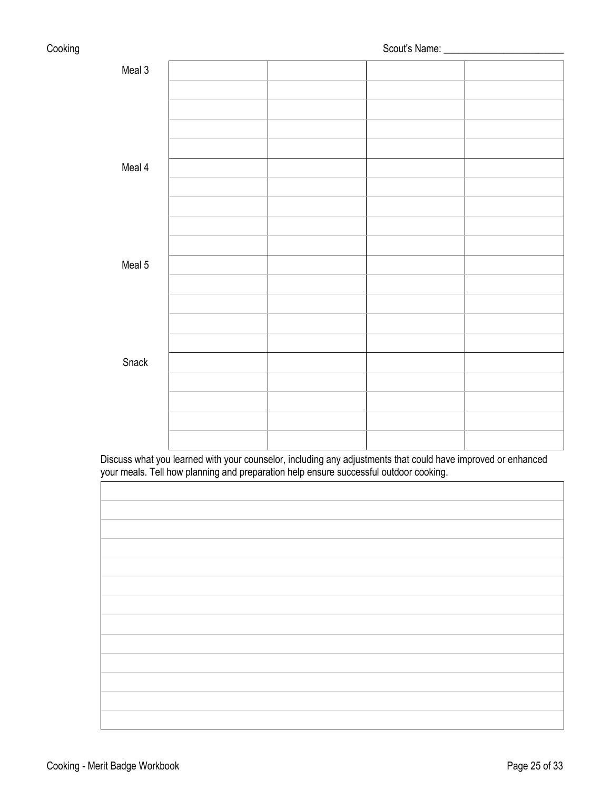| Meal 3 |  |  |
|--------|--|--|
|        |  |  |
|        |  |  |
|        |  |  |
|        |  |  |
| Meal 4 |  |  |
|        |  |  |
|        |  |  |
|        |  |  |
|        |  |  |
| Meal 5 |  |  |
|        |  |  |
|        |  |  |
|        |  |  |
|        |  |  |
| Snack  |  |  |
|        |  |  |
|        |  |  |
|        |  |  |
|        |  |  |

Discuss what you learned with your counselor, including any adjustments that could have improved or enhanced your meals. Tell how planning and preparation help ensure successful outdoor cooking.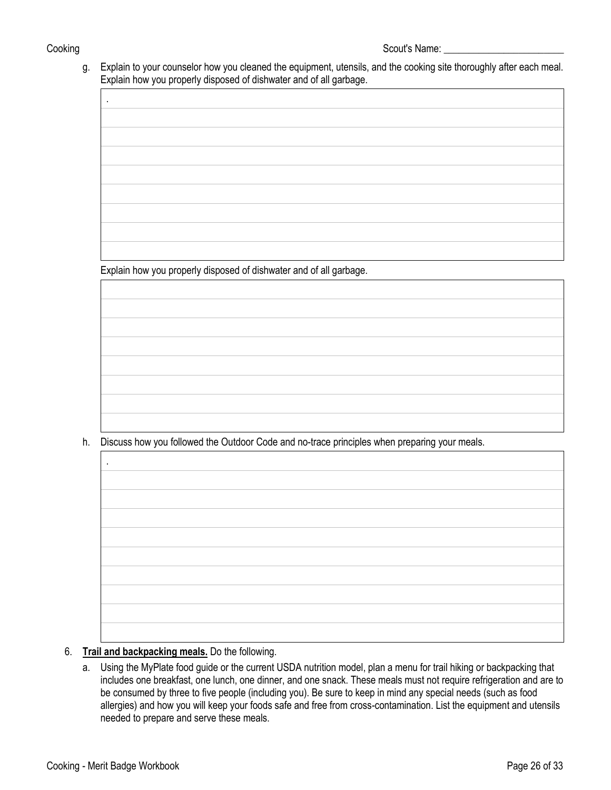.

g. Explain to your counselor how you cleaned the equipment, utensils, and the cooking site thoroughly after each meal. Explain how you properly disposed of dishwater and of all garbage.

Explain how you properly disposed of dishwater and of all garbage.

h. Discuss how you followed the Outdoor Code and no-trace principles when preparing your meals.

| $\bullet$ |  |  |
|-----------|--|--|
|           |  |  |
|           |  |  |
|           |  |  |
|           |  |  |
|           |  |  |
|           |  |  |
|           |  |  |
|           |  |  |
|           |  |  |
|           |  |  |
|           |  |  |
|           |  |  |
|           |  |  |
|           |  |  |
|           |  |  |
|           |  |  |
|           |  |  |
|           |  |  |
|           |  |  |
|           |  |  |
|           |  |  |
|           |  |  |
|           |  |  |
|           |  |  |
|           |  |  |
|           |  |  |
|           |  |  |
|           |  |  |
|           |  |  |
|           |  |  |
|           |  |  |
|           |  |  |
|           |  |  |
|           |  |  |
|           |  |  |
|           |  |  |
|           |  |  |
|           |  |  |
|           |  |  |
|           |  |  |
|           |  |  |
|           |  |  |
|           |  |  |
|           |  |  |
|           |  |  |

## 6. **Trail and backpacking meals.** Do the following.

a. Using the MyPlate food guide or the current USDA nutrition model, plan a menu for trail hiking or backpacking that includes one breakfast, one lunch, one dinner, and one snack. These meals must not require refrigeration and are to be consumed by three to five people (including you). Be sure to keep in mind any special needs (such as food allergies) and how you will keep your foods safe and free from cross-contamination. List the equipment and utensils needed to prepare and serve these meals.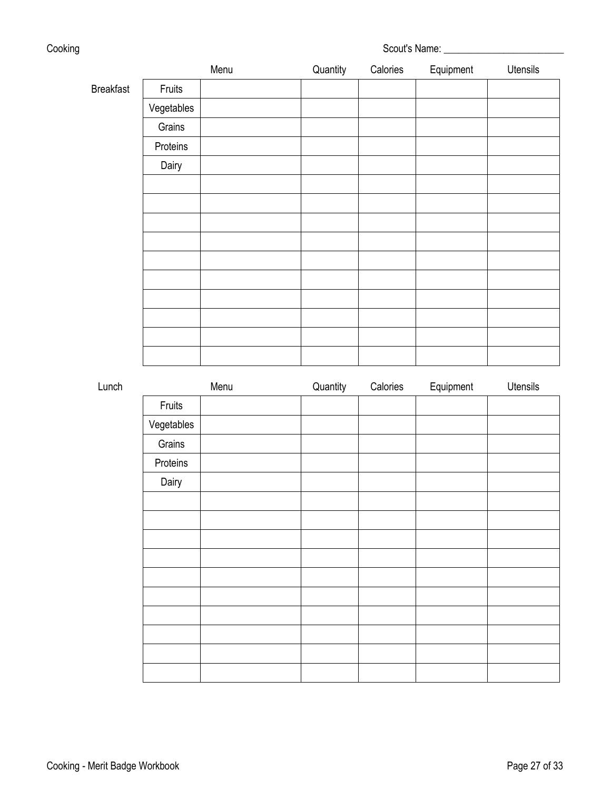| Cooking          |        |      |          | Scout's Name: |           |          |  |
|------------------|--------|------|----------|---------------|-----------|----------|--|
|                  |        | Menu | Quantity | Calories      | Equipment | Utensils |  |
| <b>Breakfast</b> | Fruits |      |          |               |           |          |  |

Breakfast Fruits

| Vegetables |  |  |  |
|------------|--|--|--|
| Grains     |  |  |  |
| Proteins   |  |  |  |
| Dairy      |  |  |  |
|            |  |  |  |
|            |  |  |  |
|            |  |  |  |
|            |  |  |  |
|            |  |  |  |
|            |  |  |  |
|            |  |  |  |
|            |  |  |  |
|            |  |  |  |
|            |  |  |  |

| Lunch |            | Menu | Quantity | Calories | Equipment | Utensils |
|-------|------------|------|----------|----------|-----------|----------|
|       | Fruits     |      |          |          |           |          |
|       | Vegetables |      |          |          |           |          |
|       | Grains     |      |          |          |           |          |
|       | Proteins   |      |          |          |           |          |
|       | Dairy      |      |          |          |           |          |
|       |            |      |          |          |           |          |
|       |            |      |          |          |           |          |
|       |            |      |          |          |           |          |
|       |            |      |          |          |           |          |
|       |            |      |          |          |           |          |
|       |            |      |          |          |           |          |
|       |            |      |          |          |           |          |
|       |            |      |          |          |           |          |
|       |            |      |          |          |           |          |
|       |            |      |          |          |           |          |
|       |            |      |          |          |           |          |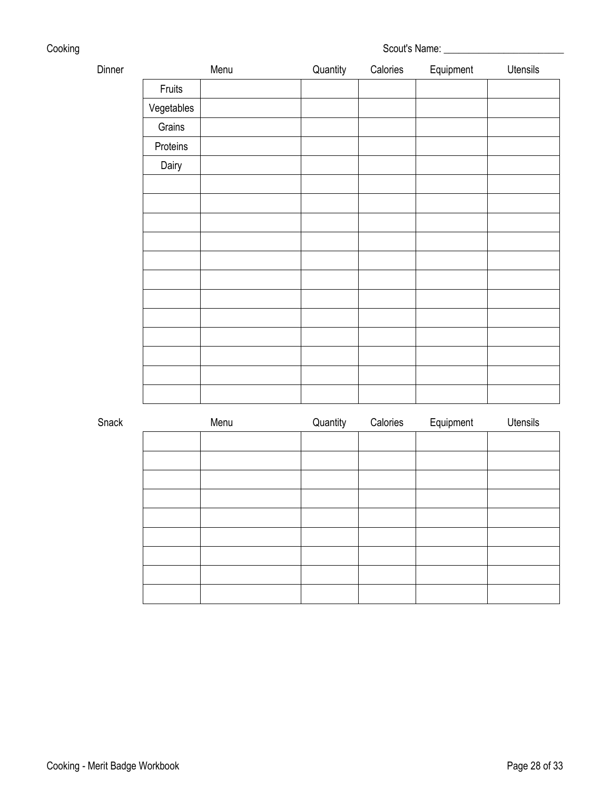| Cooking | Scout's Name: |
|---------|---------------|
|         |               |

| Dinner |            | Menu | Quantity | Calories | Equipment | Utensils |
|--------|------------|------|----------|----------|-----------|----------|
|        | Fruits     |      |          |          |           |          |
|        | Vegetables |      |          |          |           |          |
|        | Grains     |      |          |          |           |          |
|        | Proteins   |      |          |          |           |          |
|        | Dairy      |      |          |          |           |          |
|        |            |      |          |          |           |          |
|        |            |      |          |          |           |          |
|        |            |      |          |          |           |          |
|        |            |      |          |          |           |          |
|        |            |      |          |          |           |          |
|        |            |      |          |          |           |          |
|        |            |      |          |          |           |          |
|        |            |      |          |          |           |          |
|        |            |      |          |          |           |          |
|        |            |      |          |          |           |          |
|        |            |      |          |          |           |          |
|        |            |      |          |          |           |          |
| Snack  |            | Menu | Quantity | Calories | Equipment | Utensils |
|        |            |      |          |          |           |          |
|        |            |      |          |          |           |          |
|        |            |      |          |          |           |          |
|        |            |      |          |          |           |          |
|        |            |      |          |          |           |          |
|        |            |      |          |          |           |          |
|        |            |      |          |          |           |          |
|        |            |      |          |          |           |          |
|        |            |      |          |          |           |          |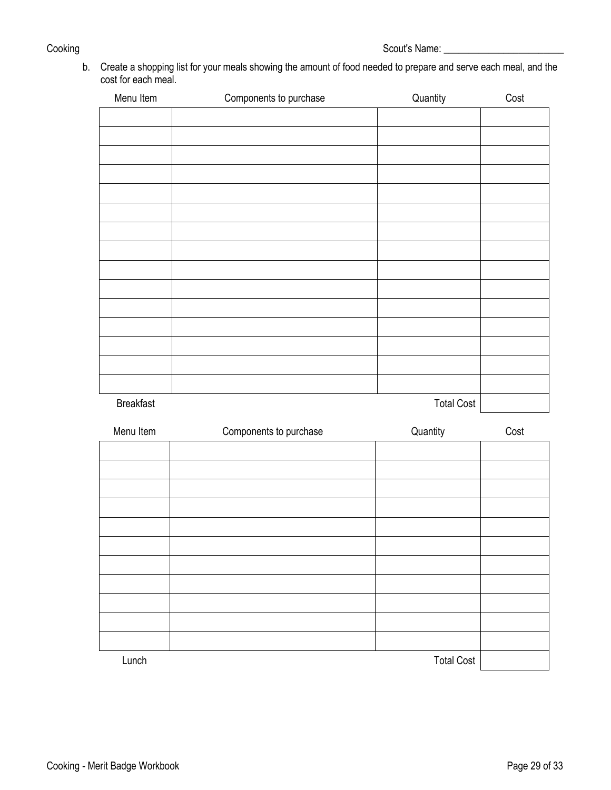b. Create a shopping list for your meals showing the amount of food needed to prepare and serve each meal, and the cost for each meal.

| Menu Item        | Components to purchase | Quantity          | Cost |
|------------------|------------------------|-------------------|------|
|                  |                        |                   |      |
|                  |                        |                   |      |
|                  |                        |                   |      |
|                  |                        |                   |      |
|                  |                        |                   |      |
|                  |                        |                   |      |
|                  |                        |                   |      |
|                  |                        |                   |      |
|                  |                        |                   |      |
|                  |                        |                   |      |
|                  |                        |                   |      |
|                  |                        |                   |      |
|                  |                        |                   |      |
|                  |                        |                   |      |
| <b>Breakfast</b> |                        | <b>Total Cost</b> |      |
| Menu Item        | Components to purchase | Quantity          | Cost |
|                  |                        |                   |      |
|                  |                        |                   |      |
|                  |                        |                   |      |
|                  |                        |                   |      |
|                  |                        |                   |      |
|                  |                        |                   |      |
|                  |                        |                   |      |
|                  |                        |                   |      |
|                  |                        |                   |      |
|                  |                        |                   |      |
| Lunch            |                        | <b>Total Cost</b> |      |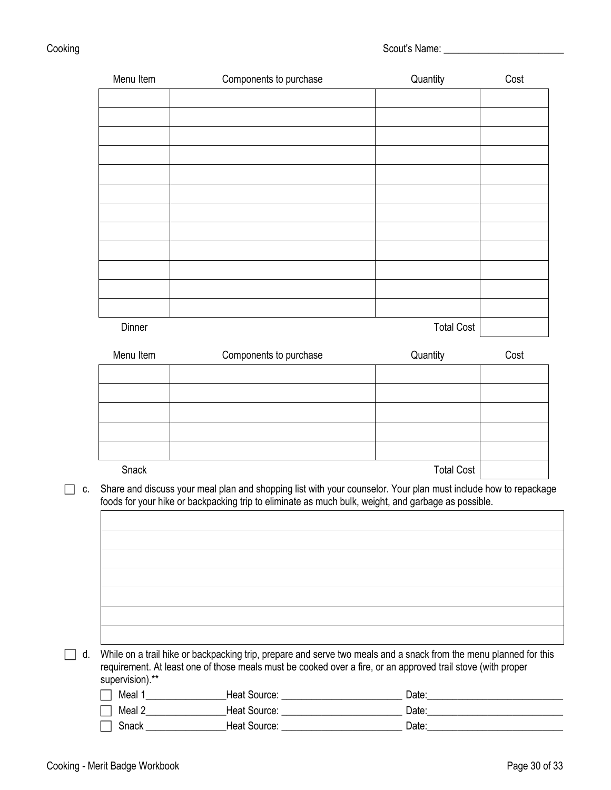Cooking Scout's Name: \_\_\_\_\_\_\_\_\_\_\_\_\_\_\_\_\_\_\_\_\_\_\_\_

| Menu Item       | Components to purchase                                                                                                                                                                                                 | Quantity          | Cost |
|-----------------|------------------------------------------------------------------------------------------------------------------------------------------------------------------------------------------------------------------------|-------------------|------|
|                 |                                                                                                                                                                                                                        |                   |      |
|                 |                                                                                                                                                                                                                        |                   |      |
|                 |                                                                                                                                                                                                                        |                   |      |
|                 |                                                                                                                                                                                                                        |                   |      |
|                 |                                                                                                                                                                                                                        |                   |      |
|                 |                                                                                                                                                                                                                        |                   |      |
|                 |                                                                                                                                                                                                                        |                   |      |
|                 |                                                                                                                                                                                                                        |                   |      |
|                 |                                                                                                                                                                                                                        |                   |      |
|                 |                                                                                                                                                                                                                        |                   |      |
|                 |                                                                                                                                                                                                                        |                   |      |
| Dinner          |                                                                                                                                                                                                                        | <b>Total Cost</b> |      |
| Menu Item       | Components to purchase                                                                                                                                                                                                 | Quantity          | Cost |
|                 |                                                                                                                                                                                                                        |                   |      |
|                 |                                                                                                                                                                                                                        |                   |      |
|                 |                                                                                                                                                                                                                        |                   |      |
|                 |                                                                                                                                                                                                                        |                   |      |
|                 |                                                                                                                                                                                                                        |                   |      |
| Snack           |                                                                                                                                                                                                                        | <b>Total Cost</b> |      |
|                 | Share and discuss your meal plan and shopping list with your counselor. Your plan must include how to repackage<br>foods for your hike or backpacking trip to eliminate as much bulk, weight, and garbage as possible. |                   |      |
|                 |                                                                                                                                                                                                                        |                   |      |
|                 |                                                                                                                                                                                                                        |                   |      |
|                 |                                                                                                                                                                                                                        |                   |      |
|                 |                                                                                                                                                                                                                        |                   |      |
|                 |                                                                                                                                                                                                                        |                   |      |
|                 |                                                                                                                                                                                                                        |                   |      |
|                 |                                                                                                                                                                                                                        |                   |      |
|                 | While on a trail hike or backpacking trip, prepare and serve two meals and a snack from the menu planned for this                                                                                                      |                   |      |
|                 | requirement. At least one of those meals must be cooked over a fire, or an approved trail stove (with proper                                                                                                           |                   |      |
| supervision).** |                                                                                                                                                                                                                        |                   |      |

Snack \_\_\_\_\_\_\_\_\_\_\_\_\_\_\_\_Heat Source: \_\_\_\_\_\_\_\_\_\_\_\_\_\_\_\_\_\_\_\_\_\_\_\_ Date:\_\_\_\_\_\_\_\_\_\_\_\_\_\_\_\_\_\_\_\_\_\_\_\_\_\_\_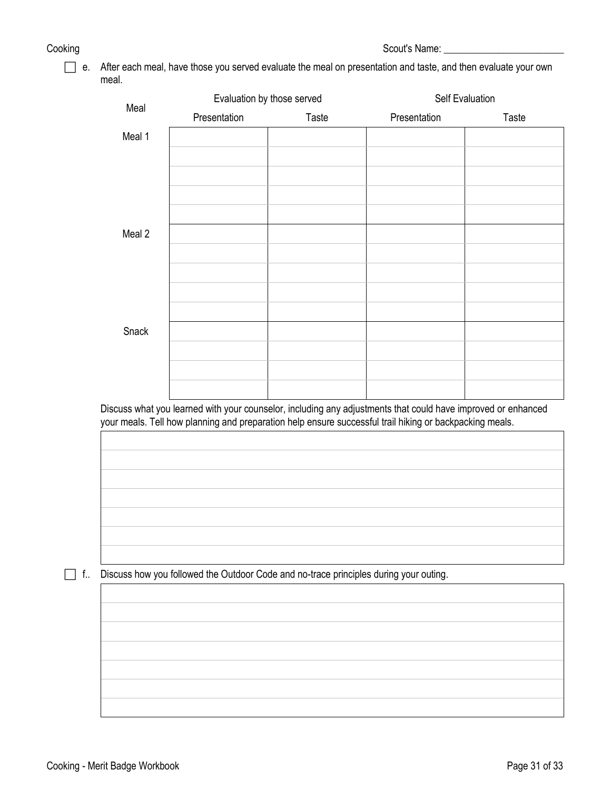Cooking Scout's Name: \_\_\_\_\_\_\_\_\_\_\_\_\_\_\_\_\_\_\_\_\_\_\_\_

 e. After each meal, have those you served evaluate the meal on presentation and taste, and then evaluate your own meal.

| Meal   |              | Evaluation by those served | Self Evaluation |       |
|--------|--------------|----------------------------|-----------------|-------|
|        | Presentation | Taste                      | Presentation    | Taste |
| Meal 1 |              |                            |                 |       |
|        |              |                            |                 |       |
|        |              |                            |                 |       |
|        |              |                            |                 |       |
|        |              |                            |                 |       |
| Meal 2 |              |                            |                 |       |
|        |              |                            |                 |       |
|        |              |                            |                 |       |
|        |              |                            |                 |       |
|        |              |                            |                 |       |
| Snack  |              |                            |                 |       |
|        |              |                            |                 |       |
|        |              |                            |                 |       |
|        |              |                            |                 |       |

Discuss what you learned with your counselor, including any adjustments that could have improved or enhanced your meals. Tell how planning and preparation help ensure successful trail hiking or backpacking meals.

f.. Discuss how you followed the Outdoor Code and no-trace principles during your outing.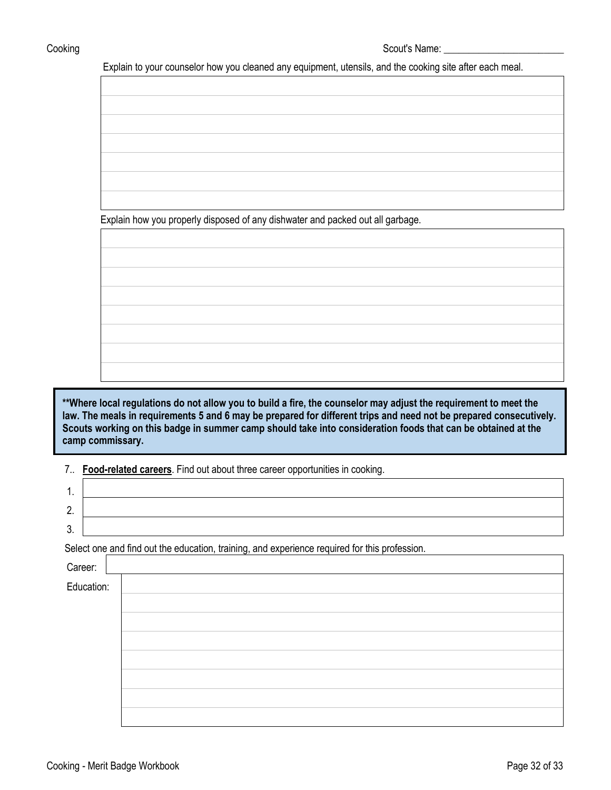Cooking Scout's Name: Letter Scout's Name: Letter Scout's Name: Letter Scout's Name: Letter Scout's Name: Letter Scout's Name: Letter Scout's Name: Letter Scout's Name: Letter Scout's Name: Letter Scout's Name: Letter Scou

Explain to your counselor how you cleaned any equipment, utensils, and the cooking site after each meal.

Explain how you properly disposed of any dishwater and packed out all garbage.

**\*\*Where local regulations do not allow you to build a fire, the counselor may adjust the requirement to meet the law. The meals in requirements 5 and 6 may be prepared for different trips and need not be prepared consecutively. Scouts working on this badge in summer camp should take into consideration foods that can be obtained at the camp commissary.**

|  |  |  | 7 Food-related careers. Find out about three career opportunities in cooking. |  |
|--|--|--|-------------------------------------------------------------------------------|--|
|--|--|--|-------------------------------------------------------------------------------|--|

| . .           |  |
|---------------|--|
| ∽<br><u>.</u> |  |
| -<br>v.       |  |

Select one and find out the education, training, and experience required for this profession.

| Career: <u> </u><br>Education: |
|--------------------------------|
|                                |
|                                |
|                                |
|                                |
|                                |
|                                |
|                                |
|                                |

Г